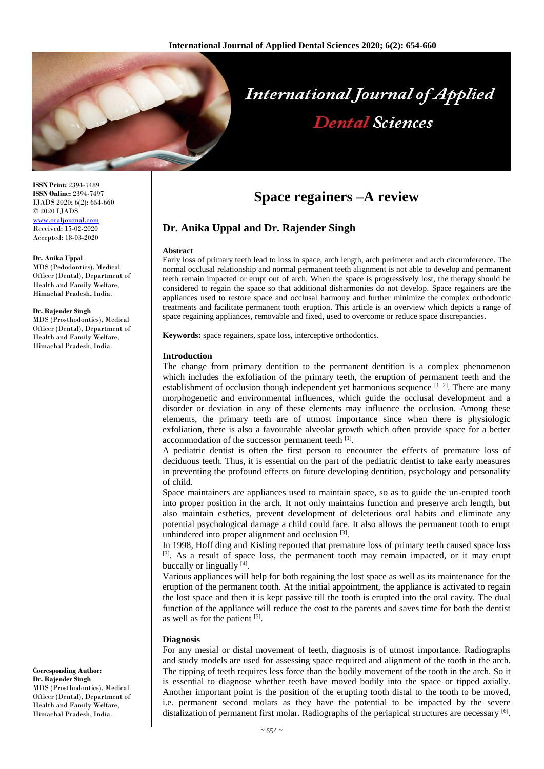

# **International Journal of Applied Dental Sciences**

**ISSN Print:** 2394-7489 **ISSN Online:** 2394-7497 IJADS 2020; 6(2): 654-660 © 2020 IJADS [www.oraljournal.com](http://www.oraljournal.com/) Received: 15-02-2020 Accepted: 18-03-2020

#### **Dr. Anika Uppal**

MDS (Pedodontics), Medical Officer (Dental), Department of Health and Family Welfare, Himachal Pradesh, India.

#### **Dr. Rajender Singh**

MDS (Prosthodontics), Medical Officer (Dental), Department of Health and Family Welfare, Himachal Pradesh, India.

#### **Corresponding Author: Dr. Rajender Singh**

MDS (Prosthodontics), Medical Officer (Dental), Department of Health and Family Welfare, Himachal Pradesh, India.

# **Space regainers –A review**

# **Dr. Anika Uppal and Dr. Rajender Singh**

#### **Abstract**

Early loss of primary teeth lead to loss in space, arch length, arch perimeter and arch circumference. The normal occlusal relationship and normal permanent teeth alignment is not able to develop and permanent teeth remain impacted or erupt out of arch. When the space is progressively lost, the therapy should be considered to regain the space so that additional disharmonies do not develop. Space regainers are the appliances used to restore space and occlusal harmony and further minimize the complex orthodontic treatments and facilitate permanent tooth eruption. This article is an overview which depicts a range of space regaining appliances, removable and fixed, used to overcome or reduce space discrepancies.

**Keywords:** space regainers, space loss, interceptive orthodontics.

#### **Introduction**

The change from primary dentition to the permanent dentition is a complex phenomenon which includes the exfoliation of the primary teeth, the eruption of permanent teeth and the establishment of occlusion though independent yet harmonious sequence  $[1, 2]$ . There are many morphogenetic and environmental influences, which guide the occlusal development and a disorder or deviation in any of these elements may influence the occlusion. Among these elements, the primary teeth are of utmost importance since when there is physiologic exfoliation, there is also a favourable alveolar growth which often provide space for a better accommodation of the successor permanent teeth [1].

A pediatric dentist is often the first person to encounter the effects of premature loss of deciduous teeth. Thus, it is essential on the part of the pediatric dentist to take early measures in preventing the profound effects on future developing dentition, psychology and personality of child.

Space maintainers are appliances used to maintain space, so as to guide the un-erupted tooth into proper position in the arch. It not only maintains function and preserve arch length, but also maintain esthetics, prevent development of deleterious oral habits and eliminate any potential psychological damage a child could face. It also allows the permanent tooth to erupt unhindered into proper alignment and occlusion [3].

In 1998, Hoff ding and Kisling reported that premature loss of primary teeth caused space loss  $[3]$ . As a result of space loss, the permanent tooth may remain impacted, or it may erupt buccally or lingually [4].

Various appliances will help for both regaining the lost space as well as its maintenance for the eruption of the permanent tooth. At the initial appointment, the appliance is activated to regain the lost space and then it is kept passive till the tooth is erupted into the oral cavity. The dual function of the appliance will reduce the cost to the parents and saves time for both the dentist as well as for the patient  $[5]$ .

#### **Diagnosis**

For any mesial or distal movement of teeth, diagnosis is of utmost importance. Radiographs and study models are used for assessing space required and alignment of the tooth in the arch. The tipping of teeth requires less force than the bodily movement of the tooth in the arch. So it is essential to diagnose whether teeth have moved bodily into the space or tipped axially. Another important point is the position of the erupting tooth distal to the tooth to be moved, i.e. permanent second molars as they have the potential to be impacted by the severe distalization of permanent first molar. Radiographs of the periapical structures are necessary  $\lbrack^{6}$ .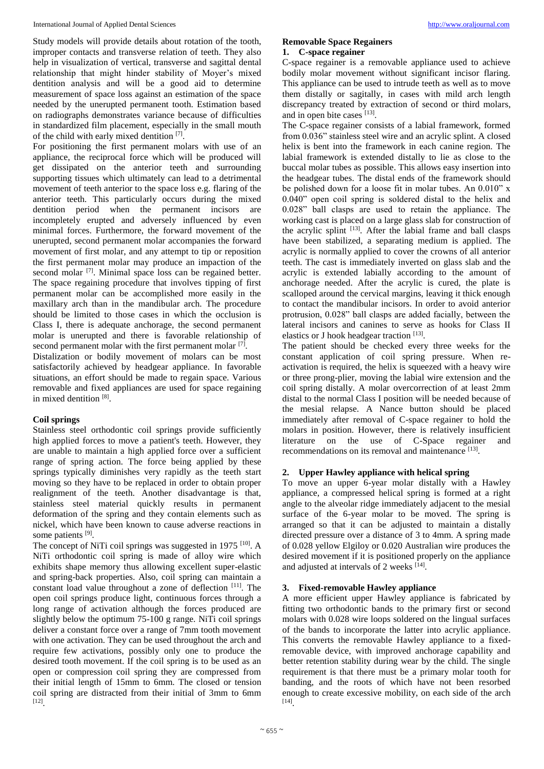Study models will provide details about rotation of the tooth, improper contacts and transverse relation of teeth. They also help in visualization of vertical, transverse and sagittal dental relationship that might hinder stability of Moyer's mixed dentition analysis and will be a good aid to determine measurement of space loss against an estimation of the space needed by the unerupted permanent tooth. Estimation based on radiographs demonstrates variance because of difficulties in standardized film placement, especially in the small mouth of the child with early mixed dentition [7].

For positioning the first permanent molars with use of an appliance, the reciprocal force which will be produced will get dissipated on the anterior teeth and surrounding supporting tissues which ultimately can lead to a detrimental movement of teeth anterior to the space loss e.g. flaring of the anterior teeth. This particularly occurs during the mixed dentition period when the permanent incisors are incompletely erupted and adversely influenced by even minimal forces. Furthermore, the forward movement of the unerupted, second permanent molar accompanies the forward movement of first molar, and any attempt to tip or reposition the first permanent molar may produce an impaction of the second molar <sup>[7]</sup>. Minimal space loss can be regained better. The space regaining procedure that involves tipping of first permanent molar can be accomplished more easily in the maxillary arch than in the mandibular arch. The procedure should be limited to those cases in which the occlusion is Class I, there is adequate anchorage, the second permanent molar is unerupted and there is favorable relationship of second permanent molar with the first permanent molar [7].

Distalization or bodily movement of molars can be most satisfactorily achieved by headgear appliance. In favorable situations, an effort should be made to regain space. Various removable and fixed appliances are used for space regaining in mixed dentition<sup>[8]</sup>.

#### **Coil springs**

Stainless steel orthodontic coil springs provide sufficiently high applied forces to move a patient's teeth. However, they are unable to maintain a high applied force over a sufficient range of spring action. The force being applied by these springs typically diminishes very rapidly as the teeth start moving so they have to be replaced in order to obtain proper realignment of the teeth. Another disadvantage is that, stainless steel material quickly results in permanent deformation of the spring and they contain elements such as nickel, which have been known to cause adverse reactions in some patients [9].

The concept of NiTi coil springs was suggested in 1975<sup>[10]</sup>. A NiTi orthodontic coil spring is made of alloy wire which exhibits shape memory thus allowing excellent super-elastic and spring-back properties. Also, coil spring can maintain a constant load value throughout a zone of deflection [11]. The open coil springs produce light, continuous forces through a long range of activation although the forces produced are slightly below the optimum 75-100 g range. NiTi coil springs deliver a constant force over a range of 7mm tooth movement with one activation. They can be used throughout the arch and require few activations, possibly only one to produce the desired tooth movement. If the coil spring is to be used as an open or compression coil spring they are compressed from their initial length of 15mm to 6mm. The closed or tension coil spring are distracted from their initial of 3mm to 6mm [12] .

# **Removable Space Regainers 1. C-space regainer**

C-space regainer is a removable appliance used to achieve bodily molar movement without significant incisor flaring. This appliance can be used to intrude teeth as well as to move them distally or sagitally, in cases with mild arch length discrepancy treated by extraction of second or third molars, and in open bite cases [13].

The C-space regainer consists of a labial framework, formed from 0.036" stainless steel wire and an acrylic splint. A closed helix is bent into the framework in each canine region. The labial framework is extended distally to lie as close to the buccal molar tubes as possible. This allows easy insertion into the headgear tubes. The distal ends of the framework should be polished down for a loose fit in molar tubes. An 0.010" x 0.040" open coil spring is soldered distal to the helix and 0.028" ball clasps are used to retain the appliance. The working cast is placed on a large glass slab for construction of the acrylic splint <sup>[13]</sup>. After the labial frame and ball clasps have been stabilized, a separating medium is applied. The acrylic is normally applied to cover the crowns of all anterior teeth. The cast is immediately inverted on glass slab and the acrylic is extended labially according to the amount of anchorage needed. After the acrylic is cured, the plate is scalloped around the cervical margins, leaving it thick enough to contact the mandibular incisors. In order to avoid anterior protrusion, 0.028" ball clasps are added facially, between the lateral incisors and canines to serve as hooks for Class II elastics or J hook headgear traction [13].

The patient should be checked every three weeks for the constant application of coil spring pressure. When reactivation is required, the helix is squeezed with a heavy wire or three prong-plier, moving the labial wire extension and the coil spring distally. A molar overcorrection of at least 2mm distal to the normal Class I position will be needed because of the mesial relapse. A Nance button should be placed immediately after removal of C-space regainer to hold the molars in position. However, there is relatively insufficient literature on the use of C-Space regainer and recommendations on its removal and maintenance [13].

# **2. Upper Hawley appliance with helical spring**

To move an upper 6-year molar distally with a Hawley appliance, a compressed helical spring is formed at a right angle to the alveolar ridge immediately adjacent to the mesial surface of the 6-year molar to be moved. The spring is arranged so that it can be adjusted to maintain a distally directed pressure over a distance of 3 to 4mm. A spring made of 0.028 yellow Elgiloy or 0.020 Australian wire produces the desired movement if it is positioned properly on the appliance and adjusted at intervals of 2 weeks [14].

# **3. Fixed-removable Hawley appliance**

A more efficient upper Hawley appliance is fabricated by fitting two orthodontic bands to the primary first or second molars with 0.028 wire loops soldered on the lingual surfaces of the bands to incorporate the latter into acrylic appliance. This converts the removable Hawley appliance to a fixedremovable device, with improved anchorage capability and better retention stability during wear by the child. The single requirement is that there must be a primary molar tooth for banding, and the roots of which have not been resorbed enough to create excessive mobility, on each side of the arch [14] .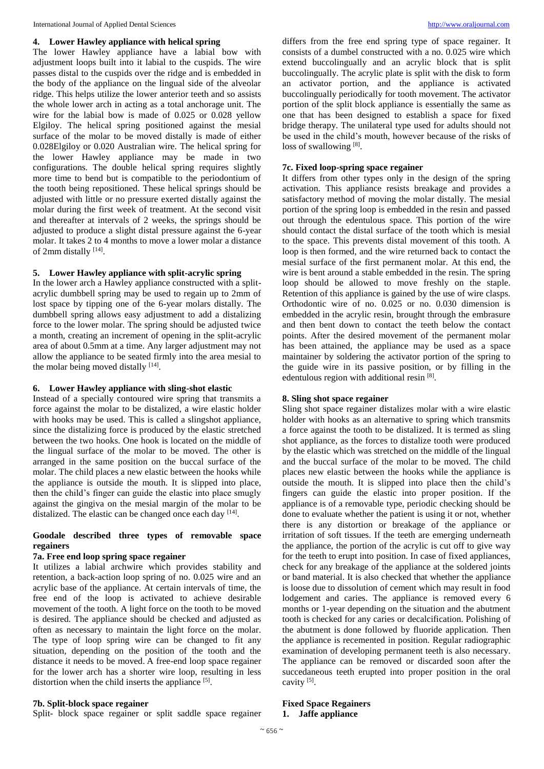# **4. Lower Hawley appliance with helical spring**

The lower Hawley appliance have a labial bow with adjustment loops built into it labial to the cuspids. The wire passes distal to the cuspids over the ridge and is embedded in the body of the appliance on the lingual side of the alveolar ridge. This helps utilize the lower anterior teeth and so assists the whole lower arch in acting as a total anchorage unit. The wire for the labial bow is made of 0.025 or 0.028 yellow Elgiloy. The helical spring positioned against the mesial surface of the molar to be moved distally is made of either 0.028Elgiloy or 0.020 Australian wire. The helical spring for the lower Hawley appliance may be made in two configurations. The double helical spring requires slightly more time to bend but is compatible to the periodontium of the tooth being repositioned. These helical springs should be adjusted with little or no pressure exerted distally against the molar during the first week of treatment. At the second visit and thereafter at intervals of 2 weeks, the springs should be adjusted to produce a slight distal pressure against the 6-year molar. It takes 2 to 4 months to move a lower molar a distance of 2mm distally [14].

#### **5. Lower Hawley appliance with split-acrylic spring**

In the lower arch a Hawley appliance constructed with a splitacrylic dumbbell spring may be used to regain up to 2mm of lost space by tipping one of the 6-year molars distally. The dumbbell spring allows easy adjustment to add a distalizing force to the lower molar. The spring should be adjusted twice a month, creating an increment of opening in the split-acrylic area of about 0.5mm at a time. Any larger adjustment may not allow the appliance to be seated firmly into the area mesial to the molar being moved distally [14].

#### **6. Lower Hawley appliance with sling-shot elastic**

Instead of a specially contoured wire spring that transmits a force against the molar to be distalized, a wire elastic holder with hooks may be used. This is called a slingshot appliance, since the distalizing force is produced by the elastic stretched between the two hooks. One hook is located on the middle of the lingual surface of the molar to be moved. The other is arranged in the same position on the buccal surface of the molar. The child places a new elastic between the hooks while the appliance is outside the mouth. It is slipped into place, then the child's finger can guide the elastic into place smugly against the gingiva on the mesial margin of the molar to be distalized. The elastic can be changed once each day [14].

# **Goodale described three types of removable space regainers**

# **7a. Free end loop spring space regainer**

It utilizes a labial archwire which provides stability and retention, a back-action loop spring of no. 0.025 wire and an acrylic base of the appliance. At certain intervals of time, the free end of the loop is activated to achieve desirable movement of the tooth. A light force on the tooth to be moved is desired. The appliance should be checked and adjusted as often as necessary to maintain the light force on the molar. The type of loop spring wire can be changed to fit any situation, depending on the position of the tooth and the distance it needs to be moved. A free-end loop space regainer for the lower arch has a shorter wire loop, resulting in less distortion when the child inserts the appliance [5].

# **7b. Split-block space regainer**

Split- block space regainer or split saddle space regainer

differs from the free end spring type of space regainer. It consists of a dumbel constructed with a no. 0.025 wire which extend buccolingually and an acrylic block that is split buccolingually. The acrylic plate is split with the disk to form an activator portion, and the appliance is activated buccolingually periodically for tooth movement. The activator portion of the split block appliance is essentially the same as one that has been designed to establish a space for fixed bridge therapy. The unilateral type used for adults should not be used in the child's mouth, however because of the risks of loss of swallowing [8].

#### **7c. Fixed loop-spring space regainer**

It differs from other types only in the design of the spring activation. This appliance resists breakage and provides a satisfactory method of moving the molar distally. The mesial portion of the spring loop is embedded in the resin and passed out through the edentulous space. This portion of the wire should contact the distal surface of the tooth which is mesial to the space. This prevents distal movement of this tooth. A loop is then formed, and the wire returned back to contact the mesial surface of the first permanent molar. At this end, the wire is bent around a stable embedded in the resin. The spring loop should be allowed to move freshly on the staple. Retention of this appliance is gained by the use of wire clasps. Orthodontic wire of no. 0.025 or no. 0.030 dimension is embedded in the acrylic resin, brought through the embrasure and then bent down to contact the teeth below the contact points. After the desired movement of the permanent molar has been attained, the appliance may be used as a space maintainer by soldering the activator portion of the spring to the guide wire in its passive position, or by filling in the edentulous region with additional resin<sup>[8]</sup>.

#### **8. Sling shot space regainer**

Sling shot space regainer distalizes molar with a wire elastic holder with hooks as an alternative to spring which transmits a force against the tooth to be distalized. It is termed as sling shot appliance, as the forces to distalize tooth were produced by the elastic which was stretched on the middle of the lingual and the buccal surface of the molar to be moved. The child places new elastic between the hooks while the appliance is outside the mouth. It is slipped into place then the child's fingers can guide the elastic into proper position. If the appliance is of a removable type, periodic checking should be done to evaluate whether the patient is using it or not, whether there is any distortion or breakage of the appliance or irritation of soft tissues. If the teeth are emerging underneath the appliance, the portion of the acrylic is cut off to give way for the teeth to erupt into position. In case of fixed appliances, check for any breakage of the appliance at the soldered joints or band material. It is also checked that whether the appliance is loose due to dissolution of cement which may result in food lodgement and caries. The appliance is removed every 6 months or 1-year depending on the situation and the abutment tooth is checked for any caries or decalcification. Polishing of the abutment is done followed by fluoride application. Then the appliance is recemented in position. Regular radiographic examination of developing permanent teeth is also necessary. The appliance can be removed or discarded soon after the succedaneous teeth erupted into proper position in the oral cavity<sup>[5]</sup>.

## **Fixed Space Regainers 1. Jaffe appliance**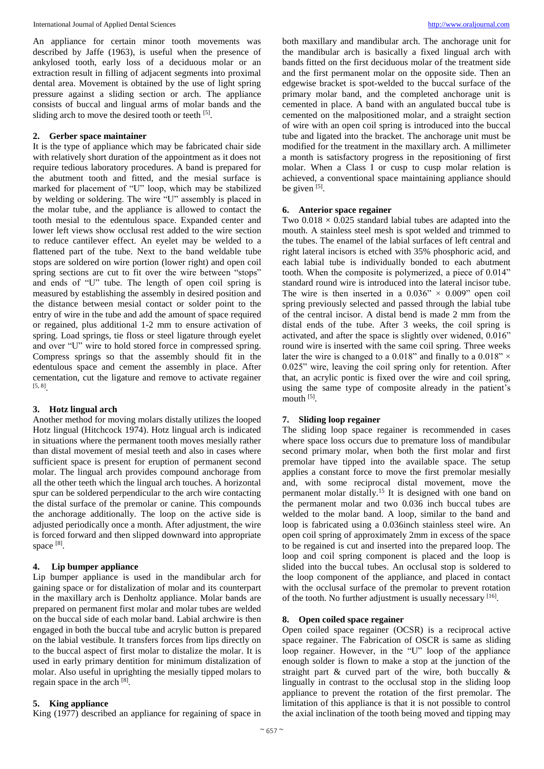An appliance for certain minor tooth movements was described by Jaffe (1963), is useful when the presence of ankylosed tooth, early loss of a deciduous molar or an extraction result in filling of adjacent segments into proximal dental area. Movement is obtained by the use of light spring pressure against a sliding section or arch. The appliance consists of buccal and lingual arms of molar bands and the sliding arch to move the desired tooth or teeth  $[5]$ .

# **2. Gerber space maintainer**

It is the type of appliance which may be fabricated chair side with relatively short duration of the appointment as it does not require tedious laboratory procedures. A band is prepared for the abutment tooth and fitted, and the mesial surface is marked for placement of "U" loop, which may be stabilized by welding or soldering. The wire "U" assembly is placed in the molar tube, and the appliance is allowed to contact the tooth mesial to the edentulous space. Expanded center and lower left views show occlusal rest added to the wire section to reduce cantilever effect. An eyelet may be welded to a flattened part of the tube. Next to the band weldable tube stops are soldered on wire portion (lower right) and open coil spring sections are cut to fit over the wire between "stops" and ends of "U" tube. The length of open coil spring is measured by establishing the assembly in desired position and the distance between mesial contact or solder point to the entry of wire in the tube and add the amount of space required or regained, plus additional 1-2 mm to ensure activation of spring. Load springs, tie floss or steel ligature through eyelet and over "U" wire to hold stored force in compressed spring. Compress springs so that the assembly should fit in the edentulous space and cement the assembly in place. After cementation, cut the ligature and remove to activate regainer [5, 8] .

#### **3. Hotz lingual arch**

Another method for moving molars distally utilizes the looped Hotz lingual (Hitchcock 1974). Hotz lingual arch is indicated in situations where the permanent tooth moves mesially rather than distal movement of mesial teeth and also in cases where sufficient space is present for eruption of permanent second molar. The lingual arch provides compound anchorage from all the other teeth which the lingual arch touches. A horizontal spur can be soldered perpendicular to the arch wire contacting the distal surface of the premolar or canine. This compounds the anchorage additionally. The loop on the active side is adjusted periodically once a month. After adjustment, the wire is forced forward and then slipped downward into appropriate space [8].

# **4. Lip bumper appliance**

Lip bumper appliance is used in the mandibular arch for gaining space or for distalization of molar and its counterpart in the maxillary arch is Denholtz appliance. Molar bands are prepared on permanent first molar and molar tubes are welded on the buccal side of each molar band. Labial archwire is then engaged in both the buccal tube and acrylic button is prepared on the labial vestibule. It transfers forces from lips directly on to the buccal aspect of first molar to distalize the molar. It is used in early primary dentition for minimum distalization of molar. Also useful in uprighting the mesially tipped molars to regain space in the arch [8].

# **5. King appliance**

King (1977) described an appliance for regaining of space in

both maxillary and mandibular arch. The anchorage unit for the mandibular arch is basically a fixed lingual arch with bands fitted on the first deciduous molar of the treatment side and the first permanent molar on the opposite side. Then an edgewise bracket is spot-welded to the buccal surface of the primary molar band, and the completed anchorage unit is cemented in place. A band with an angulated buccal tube is cemented on the malpositioned molar, and a straight section of wire with an open coil spring is introduced into the buccal tube and ligated into the bracket. The anchorage unit must be modified for the treatment in the maxillary arch. A millimeter a month is satisfactory progress in the repositioning of first molar. When a Class I or cusp to cusp molar relation is achieved, a conventional space maintaining appliance should be given  $[5]$ .

#### **6. Anterior space regainer**

Two  $0.018 \times 0.025$  standard labial tubes are adapted into the mouth. A stainless steel mesh is spot welded and trimmed to the tubes. The enamel of the labial surfaces of left central and right lateral incisors is etched with 35% phosphoric acid, and each labial tube is individually bonded to each abutment tooth. When the composite is polymerized, a piece of 0.014" standard round wire is introduced into the lateral incisor tube. The wire is then inserted in a  $0.036" \times 0.009"$  open coil spring previously selected and passed through the labial tube of the central incisor. A distal bend is made 2 mm from the distal ends of the tube. After 3 weeks, the coil spring is activated, and after the space is slightly over widened, 0.016" round wire is inserted with the same coil spring. Three weeks later the wire is changed to a 0.018" and finally to a 0.018"  $\times$ 0.025" wire, leaving the coil spring only for retention. After that, an acrylic pontic is fixed over the wire and coil spring, using the same type of composite already in the patient's mouth [5].

#### **7. Sliding loop regainer**

The sliding loop space regainer is recommended in cases where space loss occurs due to premature loss of mandibular second primary molar, when both the first molar and first premolar have tipped into the available space. The setup applies a constant force to move the first premolar mesially and, with some reciprocal distal movement, move the permanent molar distally.<sup>15</sup> It is designed with one band on the permanent molar and two 0.036 inch buccal tubes are welded to the molar band. A loop, similar to the band and loop is fabricated using a 0.036inch stainless steel wire. An open coil spring of approximately 2mm in excess of the space to be regained is cut and inserted into the prepared loop. The loop and coil spring component is placed and the loop is slided into the buccal tubes. An occlusal stop is soldered to the loop component of the appliance, and placed in contact with the occlusal surface of the premolar to prevent rotation of the tooth. No further adjustment is usually necessary [16].

## **8. Open coiled space regainer**

Open coiled space regainer (OCSR) is a reciprocal active space regainer. The Fabrication of OSCR is same as sliding loop regainer. However, in the "U" loop of the appliance enough solder is flown to make a stop at the junction of the straight part  $\&$  curved part of the wire, both buccally  $\&$ lingually in contrast to the occlusal stop in the sliding loop appliance to prevent the rotation of the first premolar. The limitation of this appliance is that it is not possible to control the axial inclination of the tooth being moved and tipping may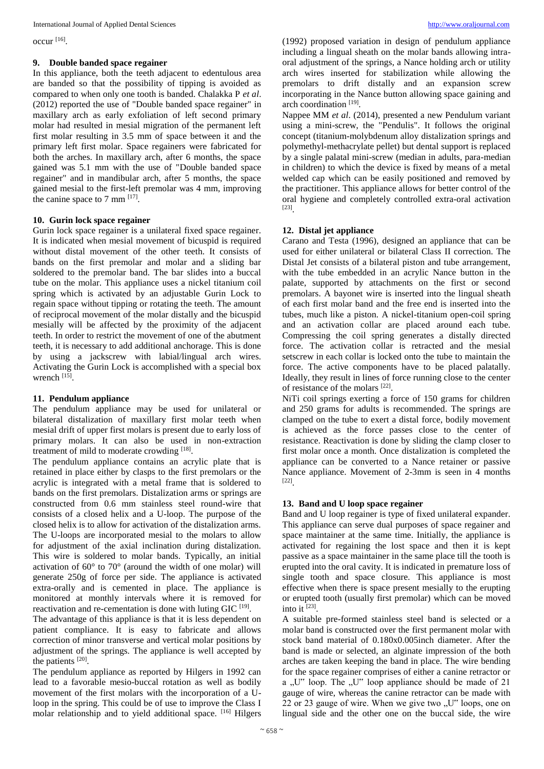occur [16] .

#### **9. Double banded space regainer**

In this appliance, both the teeth adjacent to edentulous area are banded so that the possibility of tipping is avoided as compared to when only one tooth is banded. Chalakka P *et al*. (2012) reported the use of "Double banded space regainer" in maxillary arch as early exfoliation of left second primary molar had resulted in mesial migration of the permanent left first molar resulting in 3.5 mm of space between it and the primary left first molar. Space regainers were fabricated for both the arches. In maxillary arch, after 6 months, the space gained was 5.1 mm with the use of "Double banded space regainer" and in mandibular arch, after 5 months, the space gained mesial to the first-left premolar was 4 mm, improving the canine space to 7 mm  $^{[17]}$ .

#### **10. Gurin lock space regainer**

Gurin lock space regainer is a unilateral fixed space regainer. It is indicated when mesial movement of bicuspid is required without distal movement of the other teeth. It consists of bands on the first premolar and molar and a sliding bar soldered to the premolar band. The bar slides into a buccal tube on the molar. This appliance uses a nickel titanium coil spring which is activated by an adjustable Gurin Lock to regain space without tipping or rotating the teeth. The amount of reciprocal movement of the molar distally and the bicuspid mesially will be affected by the proximity of the adjacent teeth. In order to restrict the movement of one of the abutment teeth, it is necessary to add additional anchorage. This is done by using a jackscrew with labial/lingual arch wires. Activating the Gurin Lock is accomplished with a special box wrench<sup>[15]</sup>.

#### **11. Pendulum appliance**

The pendulum appliance may be used for unilateral or bilateral distalization of maxillary first molar teeth when mesial drift of upper first molars is present due to early loss of primary molars. It can also be used in non-extraction treatment of mild to moderate crowding [18].

The pendulum appliance contains an acrylic plate that is retained in place either by clasps to the first premolars or the acrylic is integrated with a metal frame that is soldered to bands on the first premolars. Distalization arms or springs are constructed from 0.6 mm stainless steel round-wire that consists of a closed helix and a U-loop. The purpose of the closed helix is to allow for activation of the distalization arms. The U-loops are incorporated mesial to the molars to allow for adjustment of the axial inclination during distalization. This wire is soldered to molar bands. Typically, an initial activation of 60° to 70° (around the width of one molar) will generate 250g of force per side. The appliance is activated extra-orally and is cemented in place. The appliance is monitored at monthly intervals where it is removed for reactivation and re-cementation is done with luting  $GIC$ <sup>[19]</sup>.

The advantage of this appliance is that it is less dependent on patient compliance. It is easy to fabricate and allows correction of minor transverse and vertical molar positions by adjustment of the springs. The appliance is well accepted by the patients [20].

The pendulum appliance as reported by Hilgers in 1992 can lead to a favorable mesio-buccal rotation as well as bodily movement of the first molars with the incorporation of a Uloop in the spring. This could be of use to improve the Class I molar relationship and to yield additional space. [16] Hilgers

(1992) proposed variation in design of pendulum appliance including a lingual sheath on the molar bands allowing intraoral adjustment of the springs, a Nance holding arch or utility arch wires inserted for stabilization while allowing the premolars to drift distally and an expansion screw incorporating in the Nance button allowing space gaining and arch coordination<sup>[19]</sup>.

Nappee MM *et al*. (2014), presented a new Pendulum variant using a mini-screw, the "Pendulis". It follows the original concept (titanium-molybdenum alloy distalization springs and polymethyl-methacrylate pellet) but dental support is replaced by a single palatal mini-screw (median in adults, para-median in children) to which the device is fixed by means of a metal welded cap which can be easily positioned and removed by the practitioner. This appliance allows for better control of the oral hygiene and completely controlled extra-oral activation [23] .

# **12. Distal jet appliance**

Carano and Testa (1996), designed an appliance that can be used for either unilateral or bilateral Class II correction. The Distal Jet consists of a bilateral piston and tube arrangement, with the tube embedded in an acrylic Nance button in the palate, supported by attachments on the first or second premolars. A bayonet wire is inserted into the lingual sheath of each first molar band and the free end is inserted into the tubes, much like a piston. A nickel-titanium open-coil spring and an activation collar are placed around each tube. Compressing the coil spring generates a distally directed force. The activation collar is retracted and the mesial setscrew in each collar is locked onto the tube to maintain the force. The active components have to be placed palatally. Ideally, they result in lines of force running close to the center of resistance of the molars [22].

NiTi coil springs exerting a force of 150 grams for children and 250 grams for adults is recommended. The springs are clamped on the tube to exert a distal force, bodily movement is achieved as the force passes close to the center of resistance. Reactivation is done by sliding the clamp closer to first molar once a month. Once distalization is completed the appliance can be converted to a Nance retainer or passive Nance appliance. Movement of 2-3mm is seen in 4 months [22] .

# **13. Band and U loop space regainer**

Band and U loop regainer is type of fixed unilateral expander. This appliance can serve dual purposes of space regainer and space maintainer at the same time. Initially, the appliance is activated for regaining the lost space and then it is kept passive as a space maintainer in the same place till the tooth is erupted into the oral cavity. It is indicated in premature loss of single tooth and space closure. This appliance is most effective when there is space present mesially to the erupting or erupted tooth (usually first premolar) which can be moved into it  $^{[23]}$ .

A suitable pre-formed stainless steel band is selected or a molar band is constructed over the first permanent molar with stock band material of 0.180x0.005inch diameter. After the band is made or selected, an alginate impression of the both arches are taken keeping the band in place. The wire bending for the space regainer comprises of either a canine retractor or a "U" loop. The "U" loop appliance should be made of 21 gauge of wire, whereas the canine retractor can be made with 22 or 23 gauge of wire. When we give two  $U''$  loops, one on lingual side and the other one on the buccal side, the wire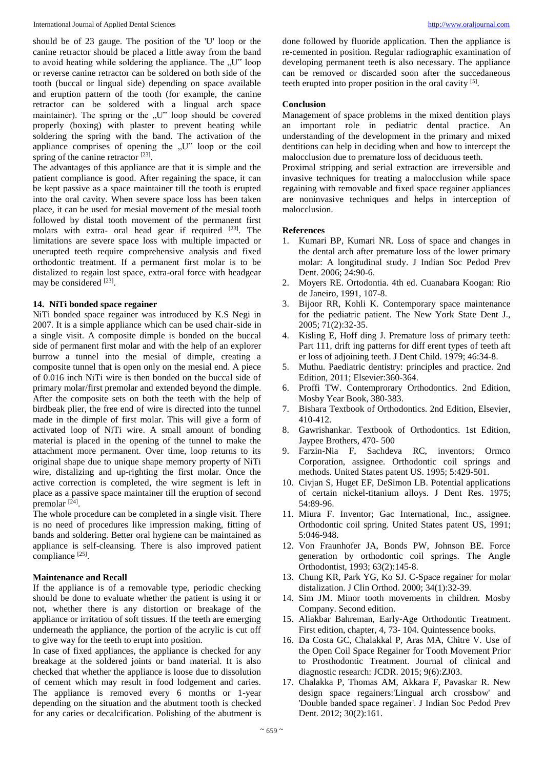should be of 23 gauge. The position of the 'U' loop or the canine retractor should be placed a little away from the band to avoid heating while soldering the appliance. The "U" loop or reverse canine retractor can be soldered on both side of the tooth (buccal or lingual side) depending on space available and eruption pattern of the tooth (for example, the canine retractor can be soldered with a lingual arch space maintainer). The spring or the "U" loop should be covered properly (boxing) with plaster to prevent heating while soldering the spring with the band. The activation of the appliance comprises of opening the  $U''$  loop or the coil spring of the canine retractor [23].

The advantages of this appliance are that it is simple and the patient compliance is good. After regaining the space, it can be kept passive as a space maintainer till the tooth is erupted into the oral cavity. When severe space loss has been taken place, it can be used for mesial movement of the mesial tooth followed by distal tooth movement of the permanent first molars with extra- oral head gear if required [23]. The limitations are severe space loss with multiple impacted or unerupted teeth require comprehensive analysis and fixed orthodontic treatment. If a permanent first molar is to be distalized to regain lost space, extra-oral force with headgear may be considered [23].

# **14. NiTi bonded space regainer**

NiTi bonded space regainer was introduced by K.S Negi in 2007. It is a simple appliance which can be used chair-side in a single visit. A composite dimple is bonded on the buccal side of permanent first molar and with the help of an explorer burrow a tunnel into the mesial of dimple, creating a composite tunnel that is open only on the mesial end. A piece of 0.016 inch NiTi wire is then bonded on the buccal side of primary molar/first premolar and extended beyond the dimple. After the composite sets on both the teeth with the help of birdbeak plier, the free end of wire is directed into the tunnel made in the dimple of first molar. This will give a form of activated loop of NiTi wire. A small amount of bonding material is placed in the opening of the tunnel to make the attachment more permanent. Over time, loop returns to its original shape due to unique shape memory property of NiTi wire, distalizing and up-righting the first molar. Once the active correction is completed, the wire segment is left in place as a passive space maintainer till the eruption of second premolar [24].

The whole procedure can be completed in a single visit. There is no need of procedures like impression making, fitting of bands and soldering. Better oral hygiene can be maintained as appliance is self-cleansing. There is also improved patient compliance [25].

# **Maintenance and Recall**

If the appliance is of a removable type, periodic checking should be done to evaluate whether the patient is using it or not, whether there is any distortion or breakage of the appliance or irritation of soft tissues. If the teeth are emerging underneath the appliance, the portion of the acrylic is cut off to give way for the teeth to erupt into position.

In case of fixed appliances, the appliance is checked for any breakage at the soldered joints or band material. It is also checked that whether the appliance is loose due to dissolution of cement which may result in food lodgement and caries. The appliance is removed every 6 months or 1-year depending on the situation and the abutment tooth is checked for any caries or decalcification. Polishing of the abutment is done followed by fluoride application. Then the appliance is re-cemented in position. Regular radiographic examination of developing permanent teeth is also necessary. The appliance can be removed or discarded soon after the succedaneous teeth erupted into proper position in the oral cavity [5].

## **Conclusion**

Management of space problems in the mixed dentition plays an important role in pediatric dental practice. An understanding of the development in the primary and mixed dentitions can help in deciding when and how to intercept the malocclusion due to premature loss of deciduous teeth.

Proximal stripping and serial extraction are irreversible and invasive techniques for treating a malocclusion while space regaining with removable and fixed space regainer appliances are noninvasive techniques and helps in interception of malocclusion.

# **References**

- 1. Kumari BP, Kumari NR. Loss of space and changes in the dental arch after premature loss of the lower primary molar: A longitudinal study. J Indian Soc Pedod Prev Dent. 2006; 24:90-6.
- 2. Moyers RE. Ortodontia. 4th ed. Cuanabara Koogan: Rio de Janeiro, 1991, 107-8.
- 3. Bijoor RR, Kohli K. Contemporary space maintenance for the pediatric patient. The New York State Dent J., 2005; 71(2):32-35.
- 4. Kisling E, Hoff ding J. Premature loss of primary teeth: Part 111, drift ing patterns for diff erent types of teeth aft er loss of adjoining teeth. J Dent Child. 1979; 46:34-8.
- 5. Muthu. Paediatric dentistry: principles and practice. 2nd Edition, 2011; Elsevier:360-364.
- 6. Proffi TW. Contemprorary Orthodontics. 2nd Edition, Mosby Year Book, 380-383.
- 7. Bishara Textbook of Orthodontics. 2nd Edition, Elsevier, 410-412.
- 8. Gawrishankar. Textbook of Orthodontics. 1st Edition, Jaypee Brothers, 470- 500
- 9. Farzin-Nia F, Sachdeva RC, inventors; Ormco Corporation, assignee. Orthodontic coil springs and methods. United States patent US. 1995; 5:429-501.
- 10. Civjan S, Huget EF, DeSimon LB. Potential applications of certain nickel-titanium alloys. J Dent Res. 1975; 54:89-96.
- 11. Miura F. Inventor; Gac International, Inc., assignee. Orthodontic coil spring. United States patent US, 1991; 5:046-948.
- 12. Von Fraunhofer JA, Bonds PW, Johnson BE. Force generation by orthodontic coil springs. The Angle Orthodontist, 1993; 63(2):145-8.
- 13. Chung KR, Park YG, Ko SJ. C-Space regainer for molar distalization. J Clin Orthod. 2000; 34(1):32-39.
- 14. Sim JM. Minor tooth movements in children. Mosby Company. Second edition.
- 15. Aliakbar Bahreman, Early-Age Orthodontic Treatment. First edition, chapter, 4, 73- 104. Quintessence books.
- 16. Da Costa GC, Chalakkal P, Aras MA, Chitre V. Use of the Open Coil Space Regainer for Tooth Movement Prior to Prosthodontic Treatment. Journal of clinical and diagnostic research: JCDR. 2015; 9(6):ZJ03.
- 17. Chalakka P, Thomas AM, Akkara F, Pavaskar R. New design space regainers:'Lingual arch crossbow' and 'Double banded space regainer'. J Indian Soc Pedod Prev Dent. 2012; 30(2):161.